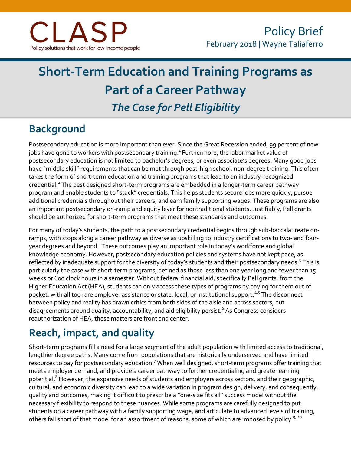# **Short-Term Education and Training Programs as Part of a Career Pathway** *The Case for Pell Eligibility*

### **Background**

Postsecondary education is more important than ever. Since the Great Recession ended, 99 percent of new jobs have gone to workers with postsecondary training. $^{\rm 1}$  Furthermore, the labor market value of postsecondary education is not limited to bachelor's degrees, or even associate's degrees. Many good jobs have "middle skill" requirements that can be met through post-high school, non-degree training. This often takes the form of short-term education and training programs that lead to an industry-recognized credential.<sup>2</sup> The best designed short-term programs are embedded in a longer-term career pathway program and enable students to "stack" credentials. This helps students secure jobs more quickly, pursue additional credentials throughout their careers, and earn family supporting wages. These programs are also an important postsecondary on-ramp and equity lever for nontraditional students. Justifiably, Pell grants should be authorized for short-term programs that meet these standards and outcomes.

For many of today's students, the path to a postsecondary credential begins through sub-baccalaureate onramps, with stops along a career pathway as diverse as upskilling to industry certifications to two- and fouryear degrees and beyond. These outcomes play an important role in today's workforce and global knowledge economy. However, postsecondary education policies and systems have not kept pace, as reflected by inadequate support for the diversity of today's students and their postsecondary needs.<sup>3</sup> This is particularly the case with short-term programs, defined as those less than one year long and fewer than 15 weeks or 600 clock hours in a semester. Without federal financial aid, specifically Pell grants, from the Higher Education Act (HEA), students can only access these types of programs by paying for them out of pocket, with all too rare employer assistance or state, local, or institutional support.<sup>4,5</sup> The disconnect between policy and reality has drawn critics from both sides of the aisle and across sectors, but disagreements around quality, accountability, and aid eligibility persist.<sup>6</sup> As Congress considers reauthorization of HEA, these matters are front and center.

### **Reach, impact, and quality**

Short-term programs fill a need for a large segment of the adult population with limited access to traditional, lengthier degree paths. Many come from populations that are historically underserved and have limited resources to pay for postsecondary education.<sup>7</sup> When well designed, short-term programs offer training that meets employer demand, and provide a career pathway to further credentialing and greater earning potential.<sup>8</sup> However, the expansive needs of students and employers across sectors, and their geographic, cultural, and economic diversity can lead to a wide variation in program design, delivery, and consequently, quality and outcomes, making it difficult to prescribe a "one-size fits all" success model without the necessary flexibility to respond to these nuances. While some programs are carefully designed to put students on a career pathway with a family supporting wage, and articulate to advanced levels of training, others fall short of that model for an assortment of reasons, some of which are imposed by policy.<sup>9, 10</sup>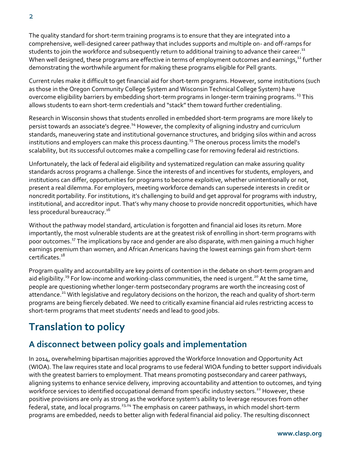The quality standard for short-term training programs is to ensure that they are integrated into a comprehensive, well-designed career pathway that includes supports and multiple on- and off-ramps for students to join the workforce and subsequently return to additional training to advance their career. $^{\rm 11}$ When well designed, these programs are effective in terms of employment outcomes and earnings,<sup>12</sup> further demonstrating the worthwhile argument for making these programs eligible for Pell grants.

Current rules make it difficult to get financial aid for short-term programs. However, some institutions (such as those in the Oregon Community College System and Wisconsin Technical College System) have overcome eligibility barriers by embedding short-term programs in longer-term training programs.<sup>13</sup> This allows students to earn short-term credentials and "stack" them toward further credentialing.

Research in Wisconsin shows that students enrolled in embedded short-term programs are more likely to persist towards an associate's degree.<sup>14</sup> However, the complexity of aligning industry and curriculum standards, maneuvering state and institutional governance structures, and bridging silos within and across institutions and employers can make this process daunting.<sup>15</sup> The onerous process limits the model's scalability, but its successful outcomes make a compelling case for removing federal aid restrictions.

Unfortunately, the lack of federal aid eligibility and systematized regulation can make assuring quality standards across programs a challenge. Since the interests of and incentives for students, employers, and institutions can differ, opportunities for programs to become exploitive, whether unintentionally or not, present a real dilemma. For employers, meeting workforce demands can supersede interests in credit or noncredit portability. For institutions, it's challenging to build and get approval for programs with industry, institutional, and accreditor input. That's why many choose to provide noncredit opportunities, which have less procedural bureaucracy.<sup>16</sup>

Without the pathway model standard, articulation is forgotten and financial aid loses its return. More importantly, the most vulnerable students are at the greatest risk of enrolling in short-term programs with poor outcomes.<sup>17</sup> The implications by race and gender are also disparate, with men gaining a much higher earnings premium than women, and African Americans having the lowest earnings gain from short-term certificates.<sup>18</sup>

Program quality and accountability are key points of contention in the debate on short-term program and aid eligibility.<sup>19</sup> For low-income and working-class communities, the need is urgent.<sup>20</sup> At the same time, people are questioning whether longer-term postsecondary programs are worth the increasing cost of attendance.<sup>21</sup> With legislative and regulatory decisions on the horizon, the reach and quality of short-term programs are being fiercely debated. We need to critically examine financial aid rules restricting access to short-term programs that meet students' needs and lead to good jobs.

### **Translation to policy**

### **A disconnect between policy goals and implementation**

In 2014, overwhelming bipartisan majorities approved the Workforce Innovation and Opportunity Act (WIOA). The law requires state and local programs to use federal WIOA funding to better support individuals with the greatest barriers to employment. That means promoting postsecondary and career pathways, aligning systems to enhance service delivery, improving accountability and attention to outcomes, and tying workforce services to identified occupational demand from specific industry sectors.<sup>22</sup> However, these positive provisions are only as strong as the workforce system's ability to leverage resources from other federal, state, and local programs.<sup>23,24</sup> The emphasis on career pathways, in which model short-term programs are embedded, needs to better align with federal financial aid policy. The resulting disconnect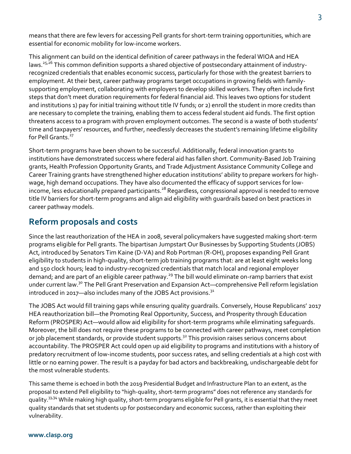means that there are few levers for accessing Pell grants for short-term training opportunities, which are essential for economic mobility for low-income workers.

This alignment can build on the identical definition of career pathways in the federal WIOA and HEA laws.<sup>25,26</sup> This common definition supports a shared objective of postsecondary attainment of industryrecognized credentials that enables economic success, particularly for those with the greatest barriers to employment. At their best, career pathway programs target occupations in growing fields with familysupporting employment, collaborating with employers to develop skilled workers. They often include first steps that don't meet duration requirements for federal financial aid. This leaves two options for student and institutions 1) pay for initial training without title IV funds; or 2) enroll the student in more credits than are necessary to complete the training, enabling them to access federal student aid funds. The first option threatens access to a program with proven employment outcomes. The second is a waste of both students' time and taxpayers' resources, and further, needlessly decreases the student's remaining lifetime eligibility for Pell Grants<sup>27</sup>

Short-term programs have been shown to be successful. Additionally, federal innovation grants to institutions have demonstrated success where federal aid has fallen short. Community-Based Job Training grants, Health Profession Opportunity Grants, and Trade Adjustment Assistance Community College and Career Training grants have strengthened higher education institutions' ability to prepare workers for highwage, high demand occupations. They have also documented the efficacy of support services for lowincome, less educationally prepared participants.<sup>28</sup> Regardless, congressional approval is needed to remove title IV barriers for short-term programs and align aid eligibility with guardrails based on best practices in career pathway models.

#### **Reform proposals and costs**

Since the last reauthorization of the HEA in 2008, several policymakers have suggested making short-term programs eligible for Pell grants. The bipartisan Jumpstart Our Businesses by Supporting Students (JOBS) Act, introduced by Senators Tim Kaine (D-VA) and Rob Portman (R-OH), proposes expanding Pell Grant eligibility to students in high-quality, short-term job training programs that: are at least eight weeks long and 150 clock hours; lead to industry-recognized credentials that match local and regional employer demand; and are part of an eligible career pathway.<sup>29</sup> The bill would eliminate on-ramp barriers that exist under current law.<sup>30</sup> The Pell Grant Preservation and Expansion Act—comprehensive Pell reform legislation introduced in 2017—also includes many of the JOBS Act provisions. $3<sup>1</sup>$ 

The JOBS Act would fill training gaps while ensuring quality guardrails. Conversely, House Republicans' 2017 HEA reauthorization bill—the Promoting Real Opportunity, Success, and Prosperity through Education Reform (PROSPER) Act—would allow aid eligibility for short-term programs while eliminating safeguards. Moreover, the bill does not require these programs to be connected with career pathways, meet completion or job placement standards, or provide student supports.<sup>32</sup> This provision raises serious concerns about accountability. The PROSPER Act could open up aid eligibility to programs and institutions with a history of predatory recruitment of low-income students, poor success rates, and selling credentials at a high cost with little or no earning power. The result is a payday for bad actors and backbreaking, undischargeable debt for the most vulnerable students.

This same theme is echoed in both the 2019 Presidential Budget and Infrastructure Plan to an extent, as the proposal to extend Pell eligibility to "high-quality, short-term programs" does not reference any standards for quality.<sup>33,34</sup> While making high quality, short-term programs eligible for Pell grants, it is essential that they meet quality standards that set students up for postsecondary and economic success, rather than exploiting their vulnerability.

#### **www.clasp.org**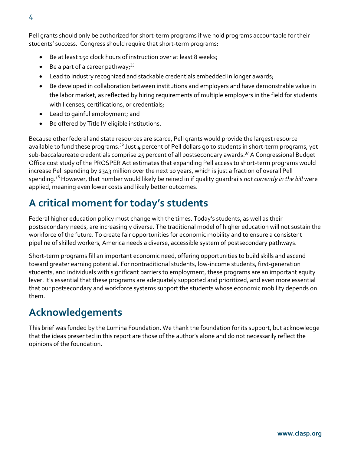Pell grants should only be authorized for short-term programs if we hold programs accountable for their students' success. Congress should require that short-term programs:

- Be at least 150 clock hours of instruction over at least 8 weeks;
- $\bullet$  Be a part of a career pathway;<sup>35</sup>
- Lead to industry recognized and stackable credentials embedded in longer awards;
- Be developed in collaboration between institutions and employers and have demonstrable value in the labor market, as reflected by hiring requirements of multiple employers in the field for students with licenses, certifications, or credentials;
- Lead to gainful employment; and
- Be offered by Title IV eligible institutions.

Because other federal and state resources are scarce, Pell grants would provide the largest resource available to fund these programs.<sup>36</sup> Just 4 percent of Pell dollars go to students in short-term programs, yet sub-baccalaureate credentials comprise 25 percent of all postsecondary awards.<sup>37</sup> A Congressional Budget Office cost study of the PROSPER Act estimates that expanding Pell access to short-term programs would increase Pell spending by \$343 million over the next 10 years, which is just a fraction of overall Pell spending. <sup>38</sup> However, that number would likely be reined in if quality guardrails *not currently in the bill* were applied, meaning even lower costs and likely better outcomes.

### **A critical moment for today's students**

Federal higher education policy must change with the times. Today's students, as well as their postsecondary needs, are increasingly diverse. The traditional model of higher education will not sustain the workforce of the future. To create fair opportunities for economic mobility and to ensure a consistent pipeline of skilled workers, America needs a diverse, accessible system of postsecondary pathways.

Short-term programs fill an important economic need, offering opportunities to build skills and ascend toward greater earning potential. For nontraditional students, low-income students, first-generation students, and individuals with significant barriers to employment, these programs are an important equity lever. It's essential that these programs are adequately supported and prioritized, and even more essential that our postsecondary and workforce systems support the students whose economic mobility depends on them.

### **Acknowledgements**

This brief was funded by the Lumina Foundation. We thank the foundation for its support, but acknowledge that the ideas presented in this report are those of the author's alone and do not necessarily reflect the opinions of the foundation.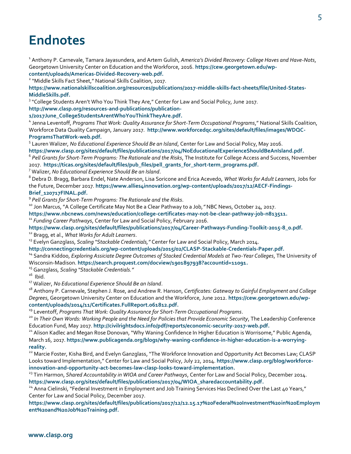## **Endnotes**

1 Anthony P. Carnevale, Tamara Jayasundera, and Artem Gulish, *America's Divided Recovery: College Haves and Have-Nots*, Georgetown University Center on Education and the Workforce, 2016. **[https://cew.georgetown.edu/wp](https://cew.georgetown.edu/wp-content/uploads/Americas-Divided-Recovery-web.pdf)[content/uploads/Americas-Divided-Recovery-web.pdf.](https://cew.georgetown.edu/wp-content/uploads/Americas-Divided-Recovery-web.pdf)**

<sup>2</sup> "Middle Skills Fact Sheet," National Skills Coalition, 2017.

**[https://www.nationalskillscoalition.org/resources/publications/2017-middle-skills-fact-sheets/file/United-States-](https://www.nationalskillscoalition.org/resources/publications/2017-middle-skills-fact-sheets/file/United-States-MiddleSkills.pdf)[MiddleSkills.pdf.](https://www.nationalskillscoalition.org/resources/publications/2017-middle-skills-fact-sheets/file/United-States-MiddleSkills.pdf)**

<sup>3</sup> "College Students Aren't Who You Think They Are," Center for Law and Social Policy, June 2017.

**[http://www.clasp.org/resources-and-publications/publication-](http://www.clasp.org/resources-and-publications/publication-1/2017June_CollegeStudentsArentWhoYouThinkTheyAre.pdf)**

**[1/2017June\\_CollegeStudentsArentWhoYouThinkTheyAre.pdf.](http://www.clasp.org/resources-and-publications/publication-1/2017June_CollegeStudentsArentWhoYouThinkTheyAre.pdf)**

4 Jenna Leventoff, *Programs That Work: Quality Assurance for Short-Term Occupational Programs*," National Skills Coalition, Workforce Data Quality Campaign, January 2017. **[http://www.workforcedqc.org/sites/default/files/images/WDQC-](http://www.workforcedqc.org/sites/default/files/images/WDQC-ProgramsThatWork-web.pdf)[ProgramsThatWork-web.pdf.](http://www.workforcedqc.org/sites/default/files/images/WDQC-ProgramsThatWork-web.pdf)**

5 Lauren Walizer, *No Educational Experience Should Be an Island*, Center for Law and Social Policy, May 2016.

**[https://www.clasp.org/sites/default/files/publications/2017/04/NoEducationalExperienceShouldBeAnIsland.pdf.](https://www.clasp.org/sites/default/files/publications/2017/04/NoEducationalExperienceShouldBeAnIsland.pdf)**

6 *Pell Grants for Short-Term Programs: The Rationale and the Risks*, The Institute for College Access and Success, November 2017. **[https://ticas.org/sites/default/files/pub\\_files/pell\\_grants\\_for\\_short-term\\_programs.pdf.](https://ticas.org/sites/default/files/pub_files/pell_grants_for_short-term_programs.pdf)**

<sup>7</sup> Walizer, *No Educational Experience Should Be an Island*.

<sup>8</sup> Debra D. Bragg, Barbara Endel, Nate Anderson, Lisa Soricone and Erica Acevedo, *What Works for Adult Learners*, Jobs for the Future, December 2017. [https://www.allies4innovation.org/wp-content/uploads/2017/12/AECF-Findings-](https://www.allies4innovation.org/wp-content/uploads/2017/12/AECF-Findings-Brief_120717FINAL.pdf)**[Brief\\_120717FINAL.pdf.](https://www.allies4innovation.org/wp-content/uploads/2017/12/AECF-Findings-Brief_120717FINAL.pdf)**

9 *Pell Grants for Short-Term Programs: The Rationale and the Risks*.

<sup>10</sup> Jon Marcus, "A College Certificate May Not Be a Clear Pathway to a Job,*"* NBC News, October 24, 2017.

**[https://www.nbcnews.com/news/education/college-certificates-may-not-be-clear-pathway-job-n813511.](https://www.nbcnews.com/news/education/college-certificates-may-not-be-clear-pathway-job-n813511)**

<sup>11</sup> *Funding Career Pathways*, Center for Law and Social Policy, February 2016.

**[https://www.clasp.org/sites/default/files/publications/2017/04/Career-Pathways-Funding-Toolkit-2015-8\\_0.pdf.](https://www.clasp.org/sites/default/files/publications/2017/04/Career-Pathways-Funding-Toolkit-2015-8_0.pdf)** <sup>12</sup> Bragg, et al., *What Works for Adult Learners*.

<sup>13</sup> Evelyn Ganzglass, *Scaling "Stackable Credentials,"* Center for Law and Social Policy, March 2014.

**[http://connectingcredentials.org/wp-content/uploads/2015/02/CLASP-Stackable-Credentials-Paper.pdf.](http://connectingcredentials.org/wp-content/uploads/2015/02/CLASP-Stackable-Credentials-Paper.pdf)**

<sup>14</sup> Sandra Kiddoo, *Exploring Assiciate Degree Outcomes of Stacked Credential Models at Two-Year Colleges*, The University of Wisconsin-Madison. **[https://search.proquest.com/docview/1901897938?accountid=11091.](https://search.proquest.com/docview/1901897938?accountid=11091)**

<sup>15</sup> Ganzglass, *Scaling "Stackable Credentials."*

 $16$  Ibid.

<sup>17</sup> Walizer, *No Educational Experience Should Be an Island*.

<sup>18</sup> Anthony P. Carnevale, Stephen J. Rose, and Andrew R. Hanson, *Certificates: Gateway to Gainful Employment and College Degrees*, Georgetown University Center on Education and the Workforce, June 2012. **[https://cew.georgetown.edu/wp](https://cew.georgetown.edu/wp-content/uploads/2014/11/Certificates.FullReport.061812.pdf)[content/uploads/2014/11/Certificates.FullReport.061812.pdf.](https://cew.georgetown.edu/wp-content/uploads/2014/11/Certificates.FullReport.061812.pdf)**

<sup>19</sup> Leventoff, *Programs That Work: Quality Assurance for Short-Term Occupational Programs*.

<sup>20</sup> In Their Own Words: Working People and the Need for Policies that Provide Economic Security, The Leadership Conference Education Fund, May 2017. **[http://civilrightsdocs.info/pdf/reports/economic-security-2017-web.pdf.](http://civilrightsdocs.info/pdf/reports/economic-security-2017-web.pdf)**

<sup>21</sup> Alison Kadlec and Megan Rose Donovan, "Why Waning Confidence In Higher Education is Worrisome," Public Agenda, March 16, 2017. **[https://www.publicagenda.org/blogs/why-waning-confidence-in-higher-education-is-a-worrying](https://www.publicagenda.org/blogs/why-waning-confidence-in-higher-education-is-a-worrying-reality)[reality.](https://www.publicagenda.org/blogs/why-waning-confidence-in-higher-education-is-a-worrying-reality)**

 $^{22}$  Marcie Foster, Kisha Bird, and Evelyn Ganzglass, "The Workforce Innovation and Opportunity Act Becomes Law; CLASP Looks toward Implementation," Center for Law and Social Policy, July 22, 2014. **[https://www.clasp.org/blog/workforce](https://www.clasp.org/blog/workforce-innovation-and-opportunity-act-becomes-law-clasp-looks-toward-implementation)[innovation-and-opportunity-act-becomes-law-clasp-looks-toward-implementation.](https://www.clasp.org/blog/workforce-innovation-and-opportunity-act-becomes-law-clasp-looks-toward-implementation)**

<sup>23</sup> Tim Harmon, *Shared Accountability in WIOA and Career Pathways*, Center for Law and Social Policy, December 2014. **[https://www.clasp.org/sites/default/files/publications/2017/04/WIOA\\_sharedaccountability.pdf.](https://www.clasp.org/sites/default/files/publications/2017/04/WIOA_sharedaccountability.pdf)**

<sup>24</sup> Anna Cielinski, "Federal Investment in Employment and Job Training Services Has Declined Over the Last 40 Years," Center for Law and Social Policy, December 2017.

**[https://www.clasp.org/sites/default/files/publications/2017/12/12.15.17%20Federal%20Investment%20in%20Employm](https://www.clasp.org/sites/default/files/publications/2017/12/12.15.17%20Federal%20Investment%20in%20Employment%20and%20Job%20Training.pdf) [ent%20and%20Job%20Training.pdf.](https://www.clasp.org/sites/default/files/publications/2017/12/12.15.17%20Federal%20Investment%20in%20Employment%20and%20Job%20Training.pdf)**